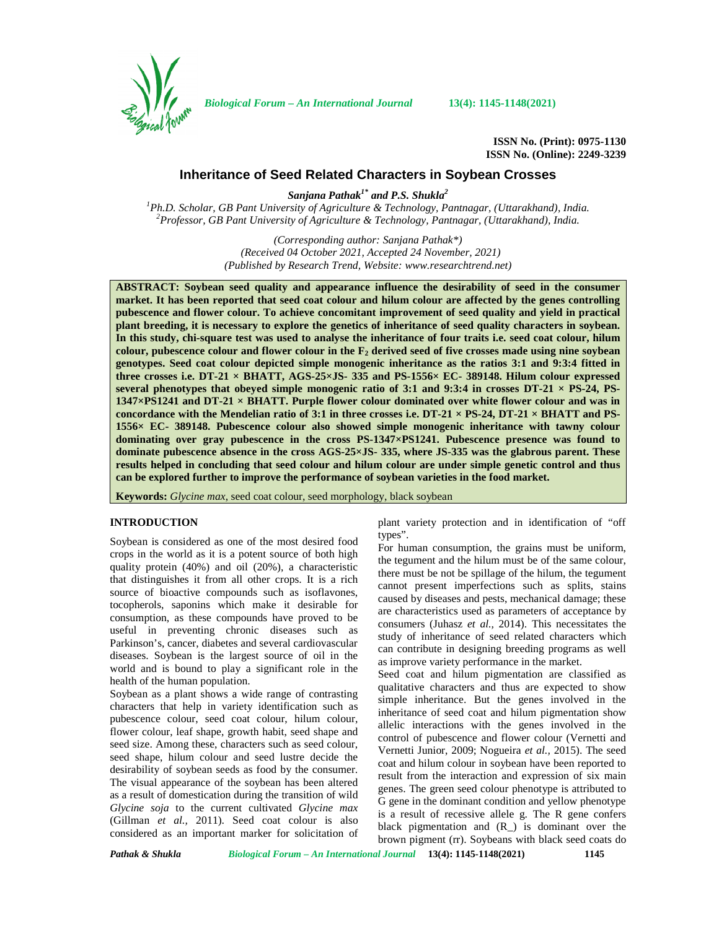

*Biological Forum – An International Journal* **13(4): 1145-1148(2021)**

**ISSN No. (Print): 0975-1130 ISSN No. (Online): 2249-3239**

# **Inheritance of Seed Related Characters in Soybean Crosses**

*Sanjana Pathak1\* and P.S. Shukla<sup>2</sup>*

<sup>1</sup>Ph.D. Scholar, GB Pant University of Agriculture & Technology, Pantnagar, (Uttarakhand), India.<br><sup>2</sup>Professor, GB Pant University of Agriculture & Technology, Pantnagar, (Uttarakhand), India.

*(Corresponding author: Sanjana Pathak\*) (Received 04 October 2021, Accepted 24 November, 2021) (Published by Research Trend, Website: [www.researchtrend.net\)](www.researchtrend.net)*

**ABSTRACT: Soybean seed quality and appearance influence the desirability of seed in the consumer market. It has been reported that seed coat colour and hilum colour are affected by the genes controlling pubescence and flower colour. To achieve concomitant improvement of seed quality and yield in practical plant breeding, it is necessary to explore the genetics of inheritance of seed quality characters in soybean. In this study, chi-square test was used to analyse the inheritance of four traits i.e. seed coat colour, hilum colour, pubescence colour and flower colour in the F<sup>2</sup> derived seed of five crosses made using nine soybean genotypes. Seed coat colour depicted simple monogenic inheritance as the ratios 3:1 and 9:3:4 fitted in three crosses i.e. DT-21 × BHATT, AGS-25×JS- 335 and PS-1556× EC- 389148. Hilum colour expressed several phenotypes that obeyed simple monogenic ratio of 3:1 and 9:3:4 in crosses DT-21 × PS-24, PS- 1347×PS1241 and DT-21 × BHATT. Purple flower colour dominated over white flower colour and was in** concordance with the Mendelian ratio of 3:1 in three crosses i.e.  $DT-21 \times PS-24$ ,  $DT-21 \times BHATT$  and PS-<br>1556 $\times$  EC- 389148. Pubescence colour also showed simple monogenic inheritance with tawny colour **dominating over gray pubescence in the cross PS-1347×PS1241. Pubescence presence was found to dominate pubescence absence in the cross AGS-25×JS- 335, where JS-335 was the glabrous parent. These results helped in concluding that seed colour and hilum colour are under simple genetic control and thus can be explored further to improve the performance of soybean varieties in the food market.**

**Keywords:** *Glycine max*, seed coat colour, seed morphology, black soybean

## **INTRODUCTION**

Soybean is considered as one of the most desired food crops in the world as it is a potent source of both high quality protein (40%) and oil (20%), a characteristic that distinguishes it from all other crops. It is a rich source of bioactive compounds such as isoflavones, tocopherols, saponins which make it desirable for consumption, as these compounds have proved to be useful in preventing chronic diseases such as Parkinson's, cancer, diabetes and several cardiovascular diseases. Soybean is the largest source of oil in the world and is bound to play a significant role in the health of the human population.

Soybean as a plant shows a wide range of contrasting characters that help in variety identification such as pubescence colour, seed coat colour, hilum colour, flower colour, leaf shape, growth habit, seed shape and seed size. Among these, characters such as seed colour, seed shape, hilum colour and seed lustre decide the desirability of soybean seeds as food by the consumer. The visual appearance of the soybean has been altered as a result of domestication during the transition of wild *Glycine soja* to the current cultivated *Glycine max* (Gillman *et al.,* 2011). Seed coat colour is also considered as an important marker for solicitation of plant variety protection and in identification of "off types".

For human consumption, the grains must be uniform, the tegument and the hilum must be of the same colour, there must be not be spillage of the hilum, the tegument cannot present imperfections such as splits, stains caused by diseases and pests, mechanical damage; these are characteristics used as parameters of acceptance by consumers (Juhasz *et al.,* 2014). This necessitates the study of inheritance of seed related characters which can contribute in designing breeding programs as well as improve variety performance in the market.

Seed coat and hilum pigmentation are classified as qualitative characters and thus are expected to show simple inheritance. But the genes involved in the inheritance of seed coat and hilum pigmentation show allelic interactions with the genes involved in the control of pubescence and flower colour (Vernetti and Vernetti Junior, 2009; Nogueira *et al.,* 2015). The seed coat and hilum colour in soybean have been reported to result from the interaction and expression of six main genes. The green seed colour phenotype is attributed to G gene in the dominant condition and yellow phenotype is a result of recessive allele g. The R gene confers black pigmentation and  $(R_$ ) is dominant over the brown pigment (rr). Soybeans with black seed coats do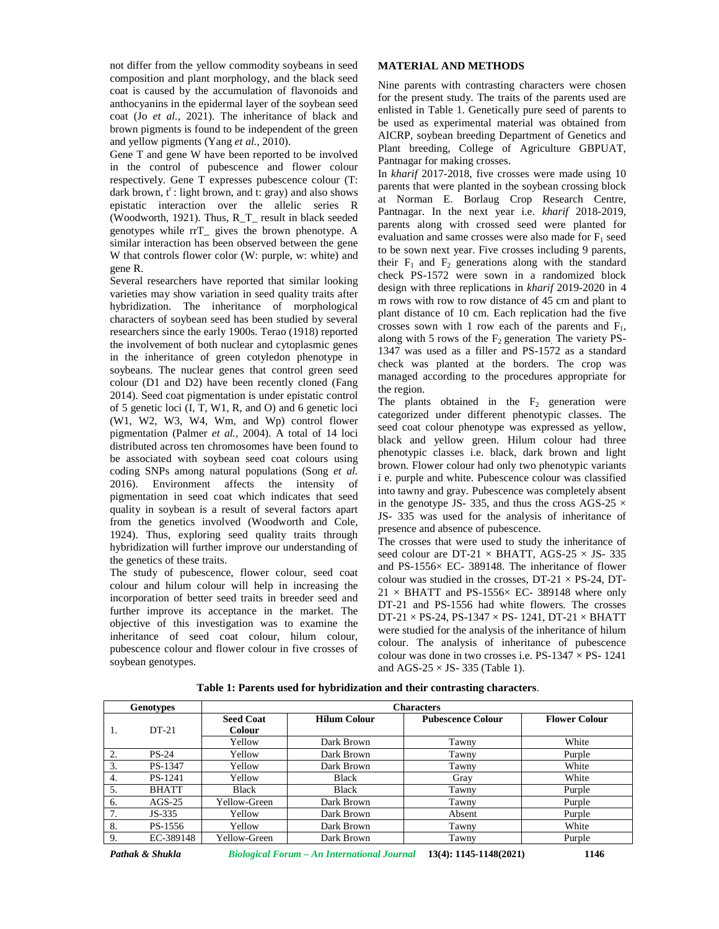not differ from the yellow commodity soybeans in seed composition and plant morphology, and the black seed coat is caused by the accumulation of flavonoids and anthocyanins in the epidermal layer of the soybean seed coat (Jo *et al.,* 2021). The inheritance of black and brown pigments is found to be independent of the green and yellow pigments (Yang *et al.,* 2010).

Gene T and gene W have been reported to be involved in the control of pubescence and flower colour respectively. Gene T expresses pubescence colour (T: dark brown,  $t^r$ : light brown, and t: gray) and also shows epistatic interaction over the allelic series R (Woodworth, 1921). Thus, R\_T\_ result in black seeded genotypes while rrT\_ gives the brown phenotype. A similar interaction has been observed between the gene W that controls flower color (W: purple, w: white) and gene R.

Several researchers have reported that similar looking varieties may show variation in seed quality traits after hybridization. The inheritance of morphological characters of soybean seed has been studied by several researchers since the early 1900s. Terao (1918) reported the involvement of both nuclear and cytoplasmic genes in the inheritance of green cotyledon phenotype in soybeans. The nuclear genes that control green seed colour (D1 and D2) have been recently cloned (Fang 2014). Seed coat pigmentation is under epistatic control of 5 genetic loci (I, T, W1, R, and O) and 6 genetic loci (W1, W2, W3, W4, Wm, and Wp) control flower pigmentation (Palmer *et al.,* 2004). A total of 14 loci distributed across ten chromosomes have been found to be associated with soybean seed coat colours using coding SNPs among natural populations (Song *et al.* 2016). Environment affects the intensity of pigmentation in seed coat which indicates that seed quality in soybean is a result of several factors apart from the genetics involved (Woodworth and Cole, 1924). Thus, exploring seed quality traits through hybridization will further improve our understanding of the genetics of these traits.

The study of pubescence, flower colour, seed coat colour and hilum colour will help in increasing the incorporation of better seed traits in breeder seed and further improve its acceptance in the market. The objective of this investigation was to examine the inheritance of seed coat colour, hilum colour, pubescence colour and flower colour in five crosses of soybean genotypes.

#### **MATERIAL AND METHODS**

Nine parents with contrasting characters were chosen for the present study. The traits of the parents used are enlisted in Table 1. Genetically pure seed of parents to be used as experimental material was obtained from AICRP, soybean breeding Department of Genetics and Plant breeding, College of Agriculture GBPUAT, Pantnagar for making crosses.

In *kharif* 2017-2018, five crosses were made using 10 parents that were planted in the soybean crossing block at Norman E. Borlaug Crop Research Centre, Pantnagar. In the next year i.e. *kharif* 2018-2019, parents along with crossed seed were planted for evaluation and same crosses were also made for  $F_1$  seed to be sown next year. Five crosses including 9 parents, their  $F_1$  and  $F_2$  generations along with the standard check PS-1572 were sown in a randomized block design with three replications in *kharif* 2019-2020 in 4 m rows with row to row distance of 45 cm and plant to plant distance of 10 cm. Each replication had the five crosses sown with 1 row each of the parents and  $F_1$ , along with 5 rows of the  $F<sub>2</sub>$  generation. The variety PS-1347 was used as a filler and PS-1572 as a standard check was planted at the borders. The crop was managed according to the procedures appropriate for the region.

The plants obtained in the  $F<sub>2</sub>$  generation were categorized under different phenotypic classes. The seed coat colour phenotype was expressed as yellow, black and yellow green. Hilum colour had three phenotypic classes i.e. black, dark brown and light brown. Flower colour had only two phenotypic variants i e. purple and white. Pubescence colour was classified into tawny and gray. Pubescence was completely absent in the genotype JS- 335, and thus the cross AGS-25  $\times$ JS- 335 was used for the analysis of inheritance of presence and absence of pubescence.

The crosses that were used to study the inheritance of seed colour are DT-21  $\times$  BHATT, AGS-25  $\times$  JS- 335 and PS-1556× EC- 389148. The inheritance of flower colour was studied in the crosses,  $DT-21 \times PS-24$ ,  $DT 21 \times$  BHATT and PS-1556 $\times$  EC- 389148 where only DT-21 and PS-1556 had white flowers. The crosses  $DT-21 \times PS-24$ ,  $PS-1347 \times PS-1241$ ,  $DT-21 \times BHATT$ were studied for the analysis of the inheritance of hilum colour. The analysis of inheritance of pubescence colour was done in two crosses i.e.  $PS-1347 \times PS-1241$ and AGS-25  $\times$  JS- 335 (Table 1).

| <b>Genotypes</b> |              | <b>Characters</b>          |                     |                          |                      |  |
|------------------|--------------|----------------------------|---------------------|--------------------------|----------------------|--|
|                  | $DT-21$      | <b>Seed Coat</b><br>Colour | <b>Hilum Colour</b> | <b>Pubescence Colour</b> | <b>Flower Colour</b> |  |
|                  |              | Yellow                     | Dark Brown          | Tawny                    | White                |  |
| 2.               | <b>PS-24</b> | Yellow                     | Dark Brown          | Tawny                    | Purple               |  |
| 3.               | PS-1347      | Yellow                     | Dark Brown          | Tawny                    | White                |  |
| 4.               | PS-1241      | Yellow                     | <b>Black</b>        | Gray                     | White                |  |
| 5.               | <b>BHATT</b> | <b>Black</b>               | <b>Black</b>        | Tawny                    | Purple               |  |
| 6.               | $AGS-25$     | Yellow-Green               | Dark Brown          | Tawny                    | Purple               |  |
| 7.               | $JS-335$     | Yellow                     | Dark Brown          | Absent                   | Purple               |  |
| 8.               | PS-1556      | Yellow                     | Dark Brown          | Tawny                    | White                |  |
| 9.               | EC-389148    | Yellow-Green               | Dark Brown          | Tawny                    | Purple               |  |

**Table 1: Parents used for hybridization and their contrasting characters**.

*Pathak & Shukla Biological Forum – An International Journal* **13(4): 1145-1148(2021) 1146**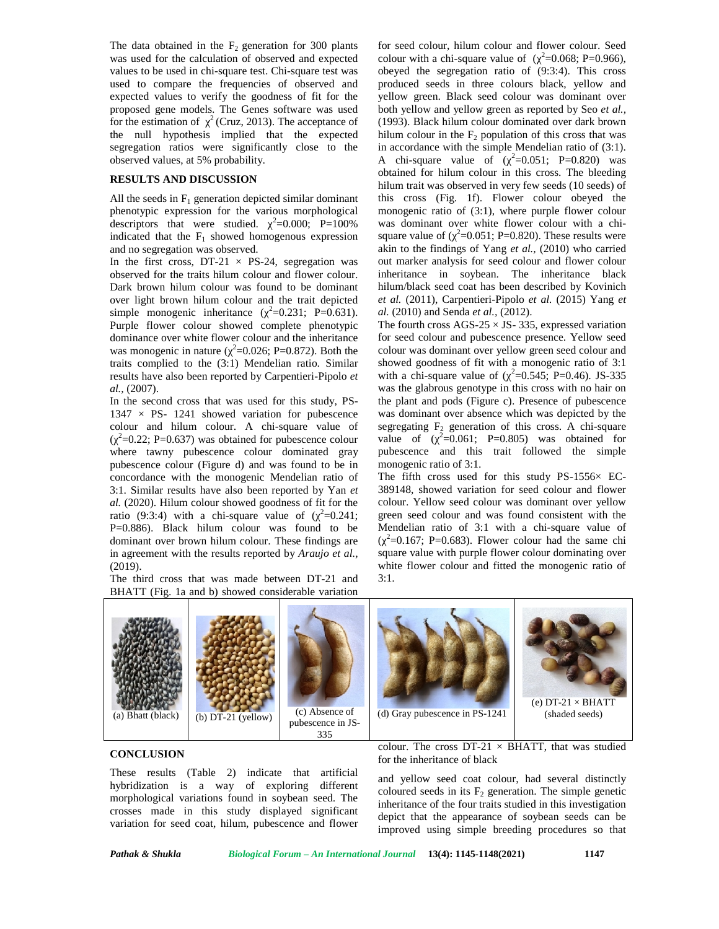The data obtained in the  $F_2$  generation for 300 plants was used for the calculation of observed and expected values to be used in chi-square test. Chi-square test was used to compare the frequencies of observed and expected values to verify the goodness of fit for the proposed gene models. The Genes software was used for the estimation of  $2$  (Cruz, 2013). The acceptance of the null hypothesis implied that the expected segregation ratios were significantly close to the observed values, at 5% probability.

#### **RESULTS AND DISCUSSION**

All the seeds in  $F_1$  generation depicted similar dominant phenotypic expression for the various morphological descriptors that were studied.  $^{2}=0.000;$  P=100% indicated that the  $F_1$  showed homogenous expression and no segregation was observed.

In the first cross, DT-21  $\times$  PS-24, segregation was observed for the traits hilum colour and flower colour. Dark brown hilum colour was found to be dominant over light brown hilum colour and the trait depicted simple monogenic inheritance  $(^{2}=0.231;$  P=0.631). Purple flower colour showed complete phenotypic dominance over white flower colour and the inheritance was monogenic in nature ( $^{2}$ =0.026; P=0.872). Both the colo traits complied to the (3:1) Mendelian ratio. Similar results have also been reported by Carpentieri-Pipolo *et al.,* (2007).

In the second cross that was used for this study, PS-  $1347 \times PS- 1241$  showed variation for pubescence colour and hilum colour. A chi-square value of  $\frac{2}{2}$ =0.22; P=0.637) was obtained for pubescence colour va where tawny pubescence colour dominated gray pubescence colour (Figure d) and was found to be in concordance with the monogenic Mendelian ratio of 3:1. Similar results have also been reported by Yan *et al.* (2020). Hilum colour showed goodness of fit for the ratio (9:3:4) with a chi-square value of  $\left(2=0.241; \right)$ P=0.886). Black hilum colour was found to be dominant over brown hilum colour. These findings are in agreement with the results reported by *Araujo et al.,* (2019).

The third cross that was made between DT-21 and BHATT (Fig. 1a and b) showed considerable variation

for seed colour, hilum colour and flower colour. Seed colour with a chi-square value of  $\left( \right.$   $2=0.068;$  P=0.966), obeyed the segregation ratio of (9:3:4). This cross produced seeds in three colours black, yellow and yellow green. Black seed colour was dominant over both yellow and yellow green as reported by Seo *et al.,* (1993). Black hilum colour dominated over dark brown hilum colour in the  $F_2$  population of this cross that was in accordance with the simple Mendelian ratio of (3:1). A chi-square value of  $(2=0.051; P=0.820)$  was obtained for hilum colour in this cross. The bleeding hilum trait was observed in very few seeds (10 seeds) of this cross (Fig. 1f). Flower colour obeyed the monogenic ratio of (3:1), where purple flower colour was dominant over white flower colour with a chi square value of ( $^{2}$ =0.051; P=0.820). These results were akin to the findings of Yang *et al.,* (2010) who carried out marker analysis for seed colour and flower colour inheritance in soybean. The inheritance black hilum/black seed coat has been described by Kovinich *et al.* (2011), Carpentieri-Pipolo *et al.* (2015) Yang *et al.* (2010) and Senda *et al.,* (2012).

The fourth cross  $AGS-25 \times JS-335$ , expressed variation for seed colour and pubescence presence. Yellow seed colour was dominant over yellow green seed colour and showed goodness of fit with a monogenic ratio of 3:1 with a chi-square value of ( $^{2}$ =0.545; P=0.46). JS-335 was the glabrous genotype in this cross with no hair on the plant and pods (Figure c). Presence of pubescence was dominant over absence which was depicted by the segregating  $F_2$  generation of this cross. A chi-square value of  $(\frac{2}{}=0.061; \text{ P}=0.805)$  was obtained for pubescence and this trait followed the simple monogenic ratio of 3:1.

The fifth cross used for this study  $PS-1556\times EC-$ 389148, showed variation for seed colour and flower colour. Yellow seed colour was dominant over yellow green seed colour and was found consistent with the Mendelian ratio of 3:1 with a chi-square value of  $\left( \right.$   $2=0.167;$  P=0.683). Flower colour had the same chi square value with purple flower colour dominating over white flower colour and fitted the monogenic ratio of 3:1.



### **CONCLUSION**

These results (Table 2) indicate that artificial hybridization is a way of exploring different morphological variations found in soybean seed. The crosses made in this study displayed significant variation for seed coat, hilum, pubescence and flower colour. The cross  $DT-21 \times BHATT$ , that was studied for the inheritance of black

and yellow seed coat colour, had several distinctly coloured seeds in its  $F_2$  generation. The simple genetic inheritance of the four traits studied in this investigation depict that the appearance of soybean seeds can be improved using simple breeding procedures so that